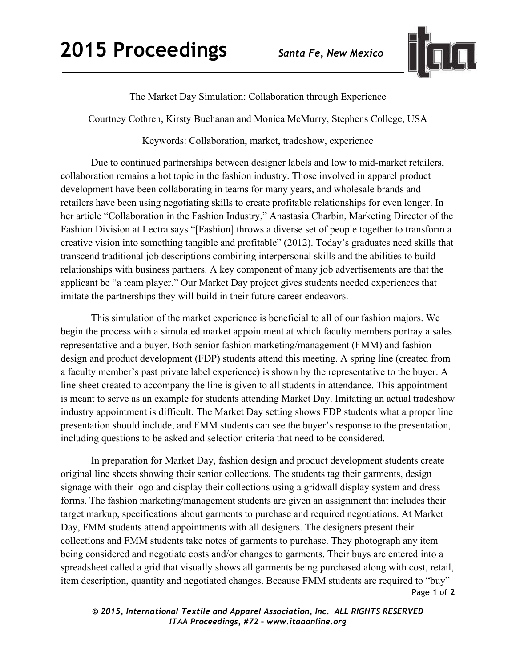

The Market Day Simulation: Collaboration through Experience

Courtney Cothren, Kirsty Buchanan and Monica McMurry, Stephens College, USA

Keywords: Collaboration, market, tradeshow, experience

Due to continued partnerships between designer labels and low to mid-market retailers, collaboration remains a hot topic in the fashion industry. Those involved in apparel product development have been collaborating in teams for many years, and wholesale brands and retailers have been using negotiating skills to create profitable relationships for even longer. In her article "Collaboration in the Fashion Industry," Anastasia Charbin, Marketing Director of the Fashion Division at Lectra says "[Fashion] throws a diverse set of people together to transform a creative vision into something tangible and profitable" (2012). Today's graduates need skills that transcend traditional job descriptions combining interpersonal skills and the abilities to build relationships with business partners. A key component of many job advertisements are that the applicant be "a team player." Our Market Day project gives students needed experiences that imitate the partnerships they will build in their future career endeavors.

This simulation of the market experience is beneficial to all of our fashion majors. We begin the process with a simulated market appointment at which faculty members portray a sales representative and a buyer. Both senior fashion marketing/management (FMM) and fashion design and product development (FDP) students attend this meeting. A spring line (created from a faculty member's past private label experience) is shown by the representative to the buyer. A line sheet created to accompany the line is given to all students in attendance. This appointment is meant to serve as an example for students attending Market Day. Imitating an actual tradeshow industry appointment is difficult. The Market Day setting shows FDP students what a proper line presentation should include, and FMM students can see the buyer's response to the presentation, including questions to be asked and selection criteria that need to be considered.

Page **1** of **2**  In preparation for Market Day, fashion design and product development students create original line sheets showing their senior collections. The students tag their garments, design signage with their logo and display their collections using a gridwall display system and dress forms. The fashion marketing/management students are given an assignment that includes their target markup, specifications about garments to purchase and required negotiations. At Market Day, FMM students attend appointments with all designers. The designers present their collections and FMM students take notes of garments to purchase. They photograph any item being considered and negotiate costs and/or changes to garments. Their buys are entered into a spreadsheet called a grid that visually shows all garments being purchased along with cost, retail, item description, quantity and negotiated changes. Because FMM students are required to "buy"

*© 2015, International Textile and Apparel Association, Inc. ALL RIGHTS RESERVED ITAA Proceedings, #72 – www.itaaonline.org*